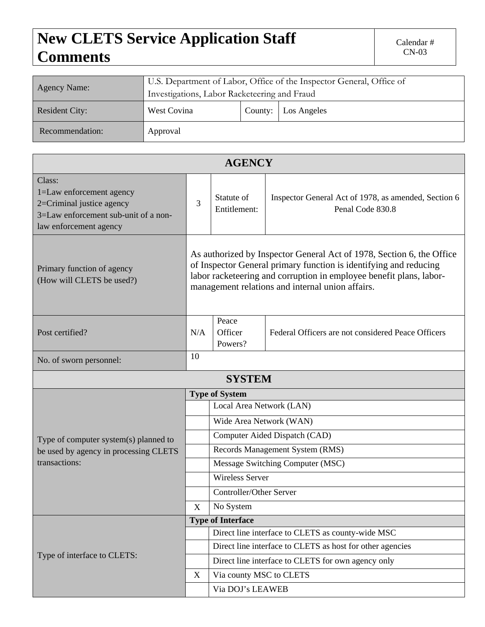## **New CLETS Service Application Staff** Calendar # Calendar # Calendar # CN-03 **Comments**

| <b>Agency Name:</b>   | U.S. Department of Labor, Office of the Inspector General, Office of<br>Investigations, Labor Racketeering and Fraud |         |             |  |  |  |  |
|-----------------------|----------------------------------------------------------------------------------------------------------------------|---------|-------------|--|--|--|--|
| <b>Resident City:</b> | West Covina                                                                                                          | County: | Los Angeles |  |  |  |  |
| Recommendation:       | Approval                                                                                                             |         |             |  |  |  |  |

| <b>AGENCY</b>                                                                                                                     |                                                                                                                                                                                                                                                                       |                                                           |                                                                          |  |  |  |  |  |
|-----------------------------------------------------------------------------------------------------------------------------------|-----------------------------------------------------------------------------------------------------------------------------------------------------------------------------------------------------------------------------------------------------------------------|-----------------------------------------------------------|--------------------------------------------------------------------------|--|--|--|--|--|
| Class:<br>1=Law enforcement agency<br>2=Criminal justice agency<br>3=Law enforcement sub-unit of a non-<br>law enforcement agency |                                                                                                                                                                                                                                                                       | Statute of<br>Entitlement:                                | Inspector General Act of 1978, as amended, Section 6<br>Penal Code 830.8 |  |  |  |  |  |
| Primary function of agency<br>(How will CLETS be used?)                                                                           | As authorized by Inspector General Act of 1978, Section 6, the Office<br>of Inspector General primary function is identifying and reducing<br>labor racketeering and corruption in employee benefit plans, labor-<br>management relations and internal union affairs. |                                                           |                                                                          |  |  |  |  |  |
| Post certified?                                                                                                                   |                                                                                                                                                                                                                                                                       | Peace<br>Officer<br>Powers?                               | Federal Officers are not considered Peace Officers                       |  |  |  |  |  |
| 10<br>No. of sworn personnel:                                                                                                     |                                                                                                                                                                                                                                                                       |                                                           |                                                                          |  |  |  |  |  |
|                                                                                                                                   |                                                                                                                                                                                                                                                                       | <b>SYSTEM</b>                                             |                                                                          |  |  |  |  |  |
|                                                                                                                                   | <b>Type of System</b>                                                                                                                                                                                                                                                 |                                                           |                                                                          |  |  |  |  |  |
|                                                                                                                                   |                                                                                                                                                                                                                                                                       | Local Area Network (LAN)                                  |                                                                          |  |  |  |  |  |
|                                                                                                                                   | Wide Area Network (WAN)                                                                                                                                                                                                                                               |                                                           |                                                                          |  |  |  |  |  |
| Type of computer system(s) planned to<br>be used by agency in processing CLETS<br>transactions:                                   |                                                                                                                                                                                                                                                                       | Computer Aided Dispatch (CAD)                             |                                                                          |  |  |  |  |  |
|                                                                                                                                   |                                                                                                                                                                                                                                                                       | Records Management System (RMS)                           |                                                                          |  |  |  |  |  |
|                                                                                                                                   |                                                                                                                                                                                                                                                                       | Message Switching Computer (MSC)                          |                                                                          |  |  |  |  |  |
|                                                                                                                                   |                                                                                                                                                                                                                                                                       | <b>Wireless Server</b>                                    |                                                                          |  |  |  |  |  |
|                                                                                                                                   |                                                                                                                                                                                                                                                                       | Controller/Other Server                                   |                                                                          |  |  |  |  |  |
|                                                                                                                                   | X                                                                                                                                                                                                                                                                     | No System                                                 |                                                                          |  |  |  |  |  |
| Type of interface to CLETS:                                                                                                       | <b>Type of Interface</b>                                                                                                                                                                                                                                              |                                                           |                                                                          |  |  |  |  |  |
|                                                                                                                                   |                                                                                                                                                                                                                                                                       | Direct line interface to CLETS as county-wide MSC         |                                                                          |  |  |  |  |  |
|                                                                                                                                   |                                                                                                                                                                                                                                                                       | Direct line interface to CLETS as host for other agencies |                                                                          |  |  |  |  |  |
|                                                                                                                                   |                                                                                                                                                                                                                                                                       | Direct line interface to CLETS for own agency only        |                                                                          |  |  |  |  |  |
|                                                                                                                                   | X                                                                                                                                                                                                                                                                     | Via county MSC to CLETS                                   |                                                                          |  |  |  |  |  |
|                                                                                                                                   |                                                                                                                                                                                                                                                                       | Via DOJ's LEAWEB                                          |                                                                          |  |  |  |  |  |